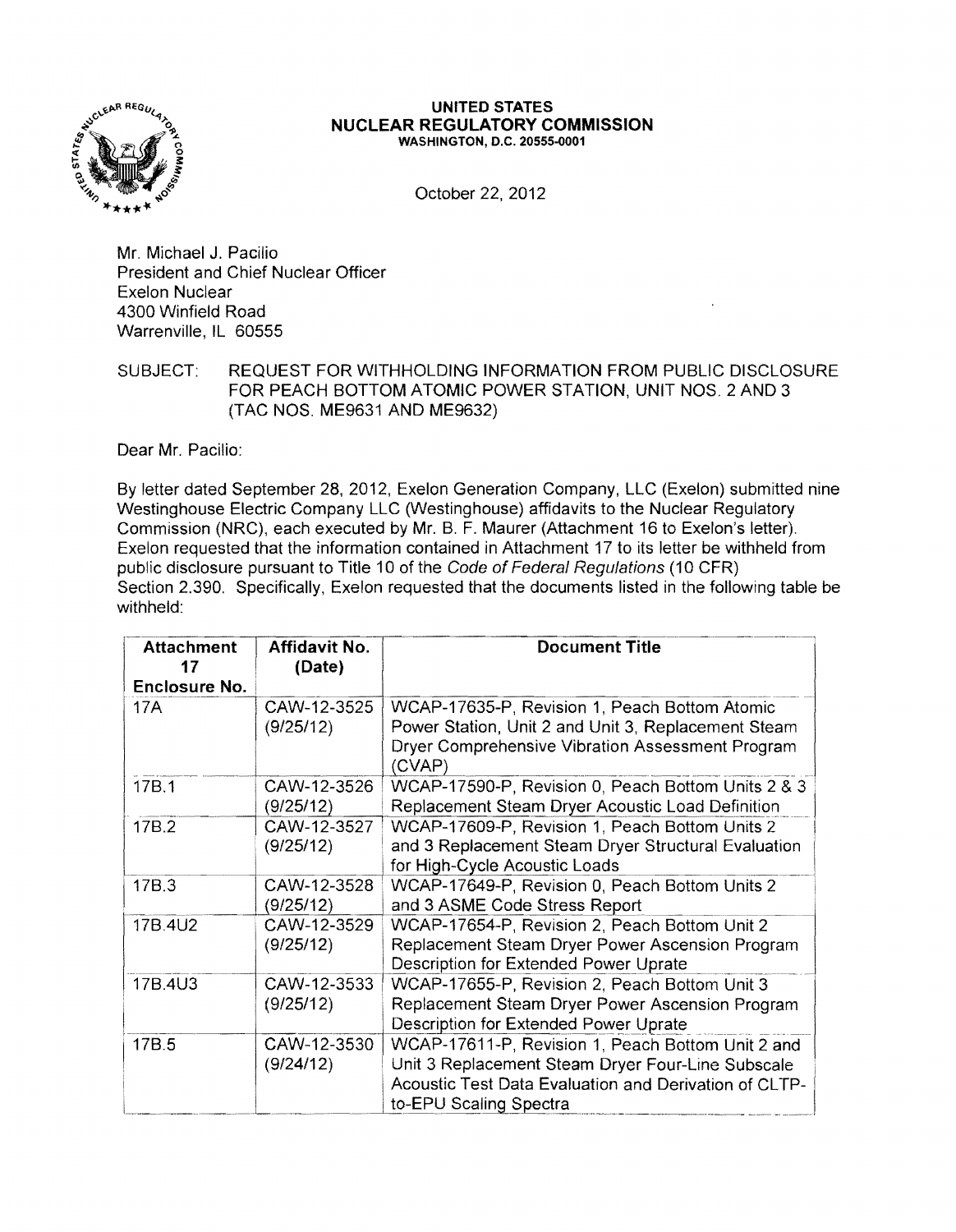

## UNITED STATES NUCLEAR REGULATORY COMMISSION WASHINGTON, D.C. 20555·0001

October 22,2012

Mr. Michael J. Pacilio President and Chief Nuclear Officer Exelon Nuclear 4300 Winfield Road Warrenville, IL 60555

SUBJECT: REQUEST FOR WITHHOLDING INFORMATION FROM PUBLIC DISCLOSURE FOR PEACH BOTTOM ATOMIC POWER STATION, UNIT NOS. 2 AND 3 (TAC NOS. ME9631 AND ME9632)

Dear Mr. Pacilio:

By letter dated September 28,2012, Exelon Generation Company, LLC (Exelon) submitted nine Westinghouse Electric Company LLC (Westinghouse) affidavits to the Nuclear Regulatory Commission (NRC), each executed by Mr. B. F. Maurer (Attachment 16 to Exelon's letter). Exelon requested that the information contained in Attachment 17 to its letter be withheld from public disclosure pursuant to Title 10 of the Code of Federal Regulations (10 CFR) Section 2.390. Specifically, Exelon requested that the documents listed in the following table be withheld:

| <b>Attachment</b><br>17 | Affidavit No.<br>(Date)  | <b>Document Title</b>                                                                                                                                                                     |  |  |
|-------------------------|--------------------------|-------------------------------------------------------------------------------------------------------------------------------------------------------------------------------------------|--|--|
| Enclosure No.           |                          |                                                                                                                                                                                           |  |  |
| 17A                     | CAW-12-3525<br>(9/25/12) | WCAP-17635-P, Revision 1, Peach Bottom Atomic<br>Power Station, Unit 2 and Unit 3, Replacement Steam<br>Dryer Comprehensive Vibration Assessment Program<br>(CVAP)                        |  |  |
| 17B.1                   | CAW-12-3526<br>(9/25/12) | WCAP-17590-P, Revision 0, Peach Bottom Units 2 & 3<br>Replacement Steam Dryer Acoustic Load Definition                                                                                    |  |  |
| 17B.2                   | CAW-12-3527<br>(9/25/12) | WCAP-17609-P, Revision 1, Peach Bottom Units 2<br>and 3 Replacement Steam Dryer Structural Evaluation<br>for High-Cycle Acoustic Loads                                                    |  |  |
| 17B.3                   | CAW-12-3528<br>(9/25/12) | WCAP-17649-P, Revision 0, Peach Bottom Units 2<br>and 3 ASME Code Stress Report                                                                                                           |  |  |
| 17B.4U2                 | CAW-12-3529<br>(9/25/12) | WCAP-17654-P, Revision 2, Peach Bottom Unit 2<br>Replacement Steam Dryer Power Ascension Program<br>Description for Extended Power Uprate                                                 |  |  |
| 17B.4U3                 | CAW-12-3533<br>(9/25/12) | WCAP-17655-P, Revision 2, Peach Bottom Unit 3<br>Replacement Steam Dryer Power Ascension Program<br>Description for Extended Power Uprate                                                 |  |  |
| 17B.5                   | CAW-12-3530<br>(9/24/12) | WCAP-17611-P, Revision 1, Peach Bottom Unit 2 and<br>Unit 3 Replacement Steam Dryer Four-Line Subscale<br>Acoustic Test Data Evaluation and Derivation of CLTP-<br>to-EPU Scaling Spectra |  |  |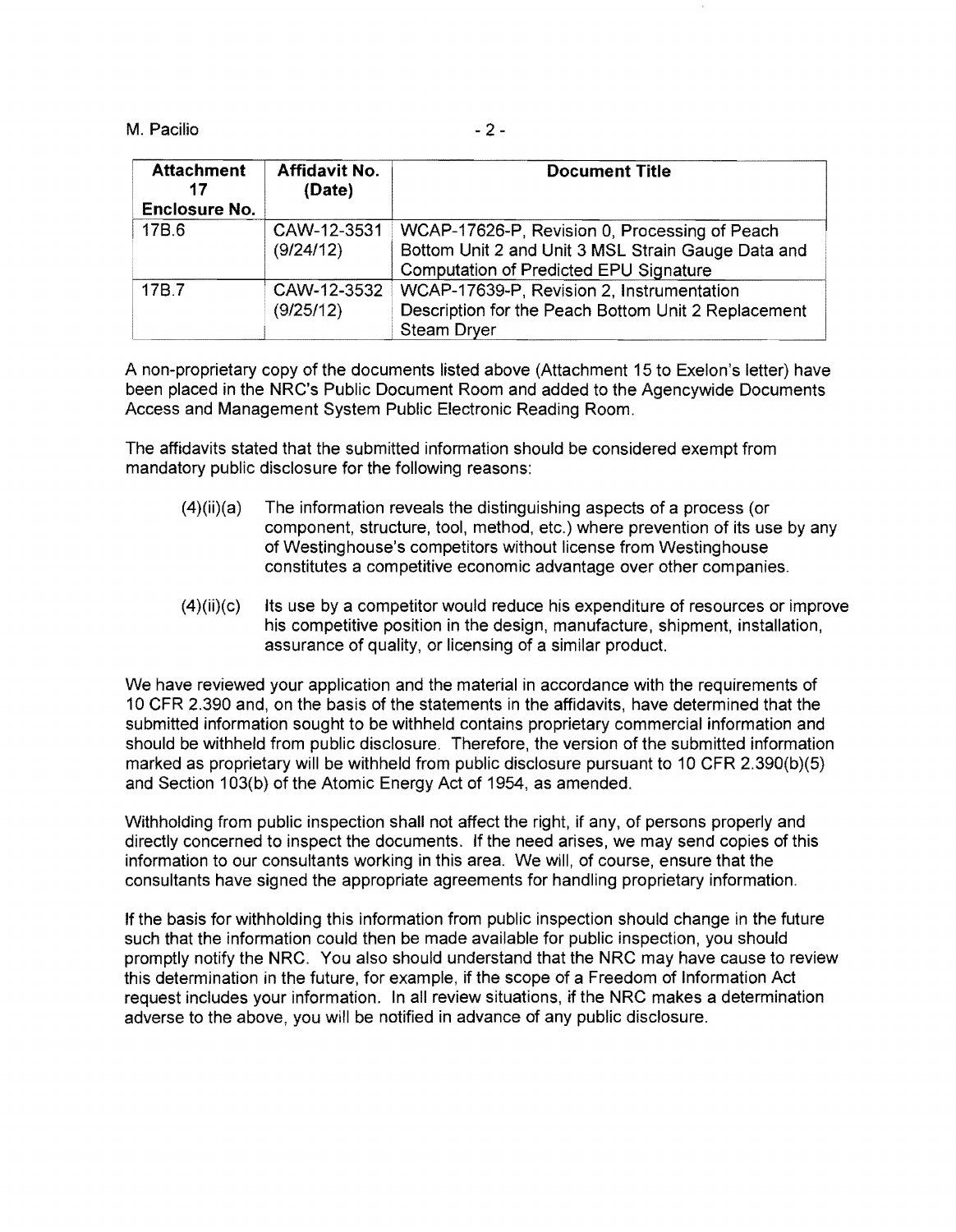## M. Pacilio  $-2-$

| <b>Attachment</b><br>17<br>Enclosure No. | Affidavit No.<br>(Date)  | <b>Document Title</b>                                                                                                                                |
|------------------------------------------|--------------------------|------------------------------------------------------------------------------------------------------------------------------------------------------|
| 17B.6                                    | CAW-12-3531<br>(9/24/12) | WCAP-17626-P, Revision 0, Processing of Peach<br>Bottom Unit 2 and Unit 3 MSL Strain Gauge Data and<br><b>Computation of Predicted EPU Signature</b> |
| 17B.7                                    | CAW-12-3532<br>(9/25/12) | WCAP-17639-P, Revision 2, Instrumentation<br>Description for the Peach Bottom Unit 2 Replacement<br><b>Steam Dryer</b>                               |

A non-proprietary copy of the documents listed above (Attachment 15 to Exelon's letter) have been placed in the NRC's Public Document Room and added to the Agencywide Documents Access and Management System Public Electronic Reading Room.

The affidavits stated that the submitted information should be considered exempt from mandatory public disclosure for the following reasons:

- (4)(ii)(a) The information reveals the distinguishing aspects of a process (or component, structure, tool, method, etc.) where prevention of its use by any of Westinghouse's competitors without license from Westinghouse constitutes a competitive economic advantage over other companies.
- $(4)(ii)(c)$  Its use by a competitor would reduce his expenditure of resources or improve his competitive position in the design, manufacture, shipment, installation, assurance of quality, or licensing of a similar product.

We have reviewed your application and the material in accordance with the requirements of 10 CFR 2.390 and, on the basis of the statements in the affidavits, have determined that the submitted information sought to be withheld contains proprietary commercial information and should be withheld from public disclosure. Therefore, the version of the submitted information marked as proprietary will be withheld from public disclosure pursuant to 10 CFR 2.390(b)(5) and Section 103(b) of the Atomic Energy Act of 1954, as amended.

Withholding from public inspection shall not affect the right, if any, of persons properly and directly concerned to inspect the documents. If the need arises, we may send copies of this information to our consultants working in this area. We will, of course, ensure that the consultants have signed the appropriate agreements for handling proprietary information.

If the basis for withholding this information from public inspection should change in the future such that the information could then be made available for public inspection, you should promptly notify the NRC. You also should understand that the NRC may have cause to review this determination in the future, for example, if the scope of a Freedom of Information Act request includes your information. In all review situations, if the NRC makes a determination adverse to the above, you will be notified in advance of any public disclosure.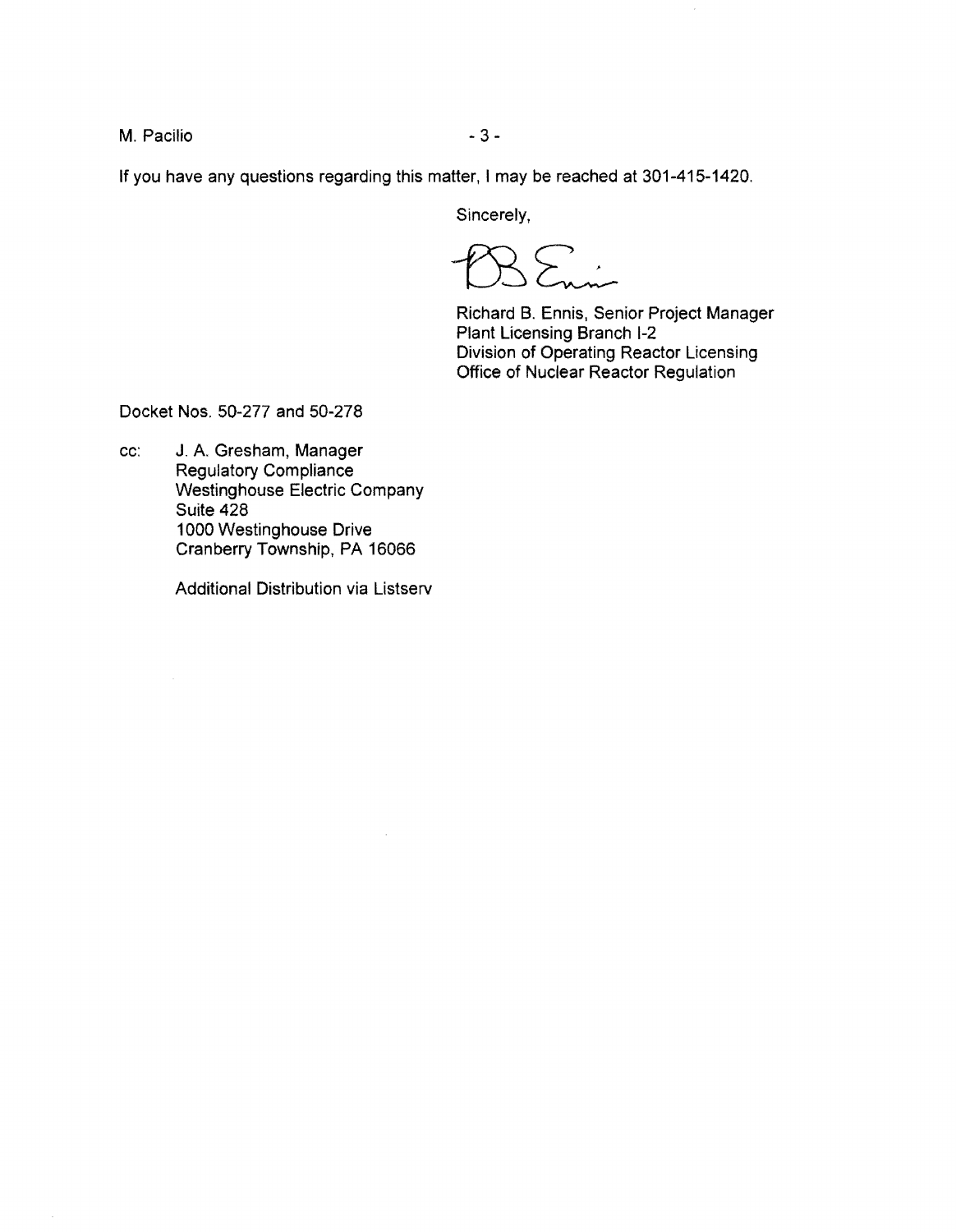$M.$  Pacilio  $-3-$ 

**If** you have any questions regarding this matter, I may be reached at 301-415-1420.

Sincerely,

Richard B. Ennis, Senior Project Manager Plant Licensing Branch 1-2 Division of Operating Reactor licensing Office of Nuclear Reactor Regulation

Docket Nos. 50-277 and 50-278

cc: J. A. Gresham, Manager Regulatory Compliance Westinghouse Electric Company Suite 428 1000 Westinghouse Drive Cranberry Township, PA 16066

Additional Distribution via Listserv